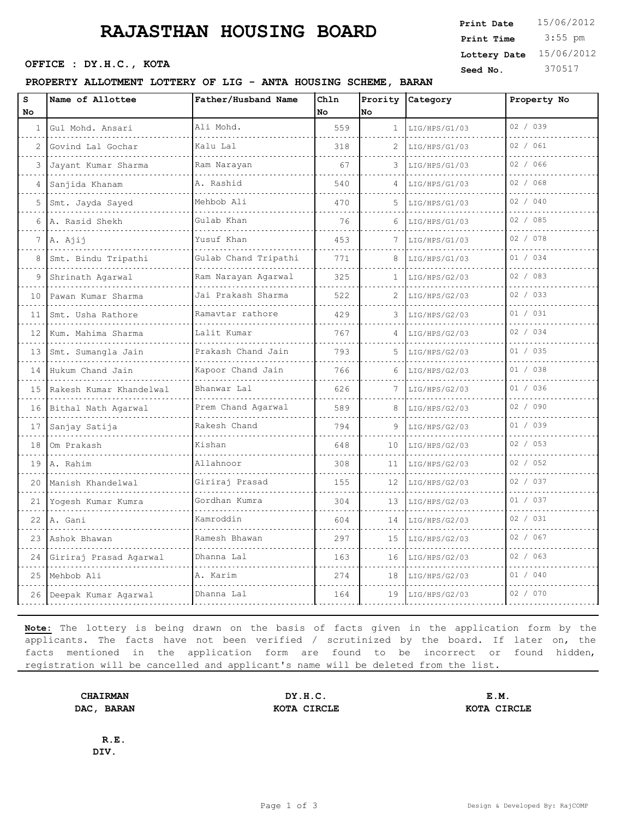# **RAJASTHAN HOUSING BOARD** Print Time 3:55 pm

OFFICE : DY.H.C., KOTA

#### PROPERTY ALLOTMENT LOTTERY OF LIG - ANTA HOUSING

| siv                  | Print Time              | $3:55$ pm |
|----------------------|-------------------------|-----------|
|                      | Lottery Date 15/06/2012 |           |
|                      | Seed No.                | 370517    |
| <b>SCHEME, BARAN</b> |                         |           |
|                      |                         |           |

**Print Date**

| S<br>No | Name of Allottee         | Father/Husband Name  | Chln<br>No. | Prority<br>No | Category      | Property No |
|---------|--------------------------|----------------------|-------------|---------------|---------------|-------------|
| 1       | Gul Mohd. Ansari         | Ali Mohd.            | 559         | $\mathbf{1}$  | LIG/HPS/G1/03 | 02 / 039    |
| 2       | .<br>Govind Lal Gochar   | Kalu Lal             | 318         | 2             | LIG/HPS/G1/03 | 02 / 061    |
| 3       | .<br>Jayant Kumar Sharma | Ram Narayan          | 67          | 3             | LIG/HPS/G1/03 | 02 / 066    |
|         | Sanjida Khanam           | A. Rashid            | 540         | 4             | LIG/HPS/G1/03 | 02 / 068    |
| 5       | Smt. Jayda Sayed         | Mehbob Ali           | 470         | 5             | LIG/HPS/G1/03 | 02 / 040    |
| 6       | A. Rasid Shekh           | Gulab Khan           | 76          | 6             | LIG/HPS/G1/03 | 02 / 085    |
| 7       | A. Ajij                  | Yusuf Khan<br>.      | 453         |               | LIG/HPS/G1/03 | 02 / 078    |
| 8       | Smt. Bindu Tripathi      | Gulab Chand Tripathi | 771         |               | LIG/HPS/G1/03 | 01 / 034    |
| 9       | Shrinath Agarwal         | Ram Narayan Agarwal  | 325         | 1             | LIG/HPS/G2/03 | 02 / 083    |
| 10      | Pawan Kumar Sharma<br>.  | Jai Prakash Sharma   | 522         | 2             | LIG/HPS/G2/03 | 02 / 033    |
| 11      | Smt. Usha Rathore        | Ramavtar rathore     | 429         | 3             | LIG/HPS/G2/03 | 01 / 031    |
| 12      | Kum. Mahima Sharma       | Lalit Kumar          | 767         | 4             | LIG/HPS/G2/03 | 02 / 034    |
| 13      | Smt. Sumangla Jain       | Prakash Chand Jain   | 793         |               | LIG/HPS/G2/03 | 01 / 035    |
| 14      | Hukum Chand Jain         | Kapoor Chand Jain    | 766         | 6             | LIG/HPS/G2/03 | 01 / 038    |
| 15      | Rakesh Kumar Khandelwal  | Bhanwar Lal          | 626         | 7             | LIG/HPS/G2/03 | 01 / 036    |
| 16      | Bithal Nath Agarwal      | Prem Chand Agarwal   | 589         | 8             | LIG/HPS/G2/03 | 02 / 090    |
| 17      | Sanjay Satija            | Rakesh Chand         | 794         | 9             | LIG/HPS/G2/03 | 01 / 039    |
| 18      | Om Prakash               | Kishan               | 648         | 10            | LIG/HPS/G2/03 | 02 / 053    |
|         | 19 A. Rahim              | Allahnoor            | 308         | 11            | LIG/HPS/G2/03 | 02 / 052    |
| 20      | Manish Khandelwal<br>.   | Giriraj Prasad       | 155         | 12            | LIG/HPS/G2/03 | 02 / 037    |
| 21      | Yogesh Kumar Kumra       | Gordhan Kumra        | 304         | 13            | LIG/HPS/G2/03 | 01 / 037    |
|         | $22$ $A.$ Gani           | Kamroddin            | 604         | 14            | LIG/HPS/G2/03 | 02 / 031    |
| 23      | Ashok Bhawan             | Ramesh Bhawan        | 297         | 15            | LIG/HPS/G2/03 | 02 / 067    |
| 24      | Giriraj Prasad Agarwal   | Dhanna Lal           | 163         | 16            | LIG/HPS/G2/03 | 02 / 063    |
| 25      | Mehbob Ali               | A. Karim             | 274         | 18            | LIG/HPS/G2/03 | 01 / 040    |
| 26      | Deepak Kumar Agarwal     | Dhanna Lal           | 164         | 19            | LIG/HPS/G2/03 | 02 / 070    |
|         |                          |                      |             |               |               |             |

**Note:** The lottery is being drawn on the basis of facts given in the application form by the applicants. The facts have not been verified / scrutinized by the board. If later on, the facts mentioned in the application form are found to be incorrect or found hidden, registration will be cancelled and applicant's name will be deleted from the list.

**CHAIRMAN DY.H.C. E.M. DAC, BARAN KOTA CIRCLE KOTA CIRCLE**

**R.E. DIV.**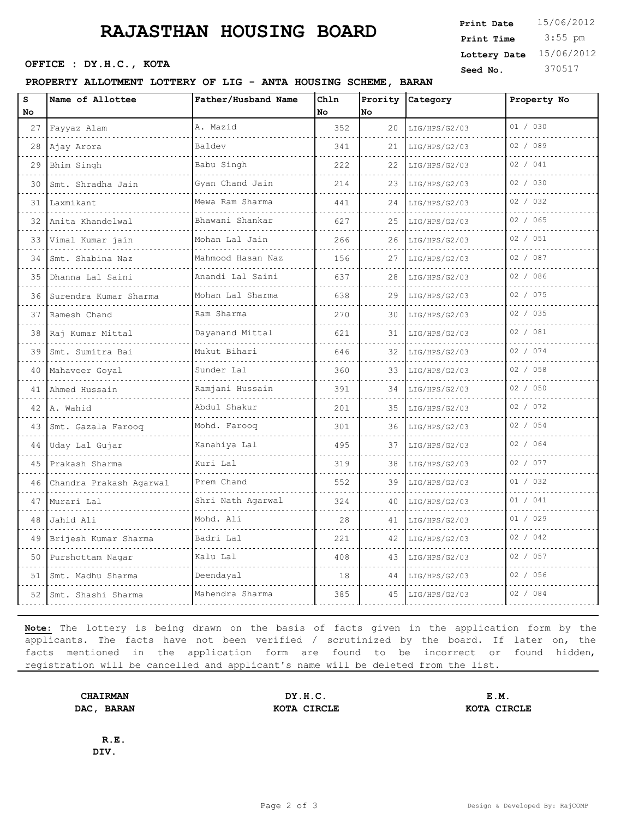## **RAJASTHAN HOUSING BOARD**

OFFICE : DY.H.C., KOTA

#### PROPERTY ALLOTMENT LOTTERY OF LIG - ANTA HOUS

|             | www.comparent.com                           |      |                  | Print Time | $3:55$ pm               |
|-------------|---------------------------------------------|------|------------------|------------|-------------------------|
|             |                                             |      |                  |            | Lottery Date 15/06/2012 |
| <b>KOTA</b> |                                             |      |                  | Seed No.   | 370517                  |
|             | LOTTERY OF LIG - ANTA HOUSING SCHEME, BARAN |      |                  |            |                         |
|             | Father/Husband Name                         | Ch1n | Prority Category |            | Property No             |

**Print Date**  $15/06/2012$ 

| S  | Name of Allottee        | Father/Husband Name    | Chln      |    | Prority Category   | Property No |
|----|-------------------------|------------------------|-----------|----|--------------------|-------------|
| No |                         |                        | <b>No</b> | No |                    |             |
| 27 | Fayyaz Alam             | A. Mazid               | 352       |    | 20 LIG/HPS/G2/03   | 01 / 030    |
| 28 | Ajay Arora              | Baldev                 | 341       | 21 | LIG/HPS/G2/03      | 02 / 089    |
| 29 | Bhim Singh              | Babu Singh             | 222       | 22 | LIG/HPS/G2/03      | 02 / 041    |
| 30 | Smt. Shradha Jain       | Gyan Chand Jain        | 214       | 23 | LIG/HPS/G2/03      | 02 / 030    |
| 31 | Laxmikant               | Mewa Ram Sharma<br>.   | 441       | 24 | LIG/HPS/G2/03      | 02 / 032    |
| 32 | Anita Khandelwal        | Bhawani Shankar<br>.   | 627       | 25 | LIG/HPS/G2/03      | 02 / 065    |
| 33 | Vimal Kumar jain        | Mohan Lal Jain         | 266       | 26 | LIG/HPS/G2/03      | 02 / 051    |
| 34 | Smt. Shabina Naz        | Mahmood Hasan Naz<br>. | 156       | 27 | LIG/HPS/G2/03      | 02 / 087    |
| 35 | Dhanna Lal Saini        | Anandi Lal Saini       | 637       | 28 | LIG/HPS/G2/03      | 02 / 086    |
| 36 | Surendra Kumar Sharma   | Mohan Lal Sharma       | 638       | 29 | LIG/HPS/G2/03      | 02 / 075    |
| 37 | Ramesh Chand            | Ram Sharma             | 270       | 30 | LIG/HPS/G2/03      | 02 / 035    |
| 38 | Raj Kumar Mittal        | Dayanand Mittal        | 621       | 31 | LIG/HPS/G2/03      | 02 / 081    |
| 39 | Smt. Sumitra Bai        | Mukut Bihari           | 646       | 32 | LIG/HPS/G2/03      | 02 / 074    |
| 40 | Mahaveer Goyal          | Sunder Lal             | 360       | 33 | LIG/HPS/G2/03      | 02 / 058    |
| 41 | Ahmed Hussain           | Ramjani Hussain        | 391       | 34 | LIG/HPS/G2/03      | 02 / 050    |
| 42 | A. Wahid                | Abdul Shakur           | 201       | 35 | LIG/HPS/G2/03      | 02 / 072    |
| 43 | Smt. Gazala Farooq      | Mohd. Farooq           | 301       | 36 | LIG/HPS/G2/03      | 02 / 054    |
| 44 | Uday Lal Gujar          | Kanahiya Lal           | 495       | 37 | LIG/HPS/G2/03      | 02 / 064    |
| 45 | Prakash Sharma          | Kuri Lal               | 319       | 38 | LIG/HPS/G2/03      | 02 / 077    |
| 46 | Chandra Prakash Agarwal | Prem Chand             | 552       | 39 | LIG/HPS/G2/03      | 01 / 032    |
| 47 | Murari Lal              | Shri Nath Agarwal      | 324       | 40 | LIG/HPS/G2/03      | 01 / 041    |
| 48 | Jahid Ali               | Mohd. Ali              | 28        | 41 | LIG/HPS/G2/03      | 01 / 029    |
| 49 | Brijesh Kumar Sharma    | Badri Lal              | 221       | 42 | LIG/HPS/G2/03      | 02 / 042    |
| 50 | Purshottam Nagar        | Kalu Lal               | 408       | 43 | LIG/HPS/G2/03      | 02 / 057    |
| 51 | Smt. Madhu Sharma       | Deendayal              | 18        |    | 44   LIG/HPS/G2/03 | 02 / 056    |
| 52 | Smt. Shashi Sharma      | Mahendra Sharma        | 385       | 45 | LIG/HPS/G2/03      | 02 / 084    |

**Note:** The lottery is being drawn on the basis of facts given in the application form by the applicants. The facts have not been verified / scrutinized by the board. If later on, the facts mentioned in the application form are found to be incorrect or found hidden, registration will be cancelled and applicant's name will be deleted from the list.

**CHAIRMAN DY.H.C. E.M. DAC, BARAN KOTA CIRCLE KOTA CIRCLE**

**R.E. DIV.**